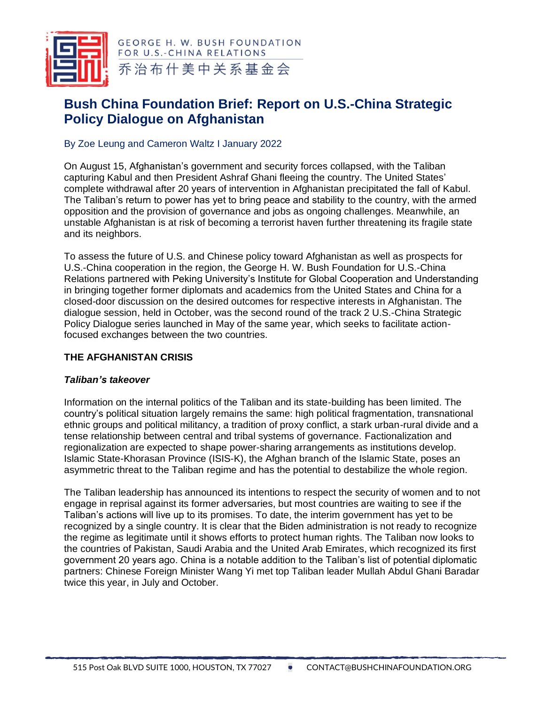

**GEORGE H. W. BUSH FOUNDATION** FOR U.S.-CHINA RELATIONS 乔治布什美中关系基金会

# **Bush China Foundation Brief: Report on U.S.-China Strategic Policy Dialogue on Afghanistan**

# By Zoe Leung and Cameron Waltz I January 2022

On August 15, Afghanistan's government and security forces collapsed, with the Taliban capturing Kabul and then President Ashraf Ghani fleeing the country. The United States' complete withdrawal after 20 years of intervention in Afghanistan precipitated the fall of Kabul. The Taliban's return to power has yet to bring peace and stability to the country, with the armed opposition and the provision of governance and jobs as ongoing challenges. Meanwhile, an unstable Afghanistan is at risk of becoming a terrorist haven further threatening its fragile state and its neighbors.

To assess the future of U.S. and Chinese policy toward Afghanistan as well as prospects for U.S.-China cooperation in the region, the George H. W. Bush Foundation for U.S.-China Relations partnered with Peking University's Institute for Global Cooperation and Understanding in bringing together former diplomats and academics from the United States and China for a closed-door discussion on the desired outcomes for respective interests in Afghanistan. The dialogue session, held in October, was the second round of the track 2 U.S.-China Strategic Policy Dialogue series launched in May of the same year, which seeks to facilitate actionfocused exchanges between the two countries.

# **THE AFGHANISTAN CRISIS**

# *Taliban's takeover*

Information on the internal politics of the Taliban and its state-building has been limited. The country's political situation largely remains the same: high political fragmentation, transnational ethnic groups and political militancy, a tradition of proxy conflict, a stark urban-rural divide and a tense relationship between central and tribal systems of governance. Factionalization and regionalization are expected to shape power-sharing arrangements as institutions develop. Islamic State-Khorasan Province (ISIS-K), the Afghan branch of the Islamic State, poses an asymmetric threat to the Taliban regime and has the potential to destabilize the whole region.

The Taliban leadership has announced its intentions to respect the security of women and to not engage in reprisal against its former adversaries, but most countries are waiting to see if the Taliban's actions will live up to its promises. To date, the interim government has yet to be recognized by a single country. It is clear that the Biden administration is not ready to recognize the regime as legitimate until it shows efforts to protect human rights. The Taliban now looks to the countries of Pakistan, Saudi Arabia and the United Arab Emirates, which recognized its first government 20 years ago. China is a notable addition to the Taliban's list of potential diplomatic partners: Chinese Foreign Minister Wang Yi met top Taliban leader Mullah Abdul Ghani Baradar twice this year, in July and October.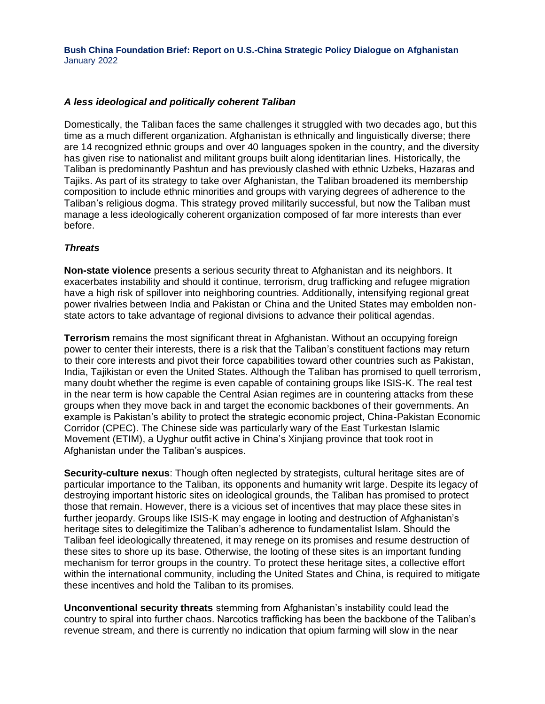**Bush China Foundation Brief: Report on U.S.-China Strategic Policy Dialogue on Afghanistan** January 2022

#### *A less ideological and politically coherent Taliban*

Domestically, the Taliban faces the same challenges it struggled with two decades ago, but this time as a much different organization. Afghanistan is ethnically and linguistically diverse; there are 14 recognized ethnic groups and over 40 languages spoken in the country, and the diversity has given rise to nationalist and militant groups built along identitarian lines. Historically, the Taliban is predominantly Pashtun and has previously clashed with ethnic Uzbeks, Hazaras and Tajiks. As part of its strategy to take over Afghanistan, the Taliban broadened its membership composition to include ethnic minorities and groups with varying degrees of adherence to the Taliban's religious dogma. This strategy proved militarily successful, but now the Taliban must manage a less ideologically coherent organization composed of far more interests than ever before.

#### *Threats*

**Non-state violence** presents a serious security threat to Afghanistan and its neighbors. It exacerbates instability and should it continue, terrorism, drug trafficking and refugee migration have a high risk of spillover into neighboring countries. Additionally, intensifying regional great power rivalries between India and Pakistan or China and the United States may embolden nonstate actors to take advantage of regional divisions to advance their political agendas.

**Terrorism** remains the most significant threat in Afghanistan. Without an occupying foreign power to center their interests, there is a risk that the Taliban's constituent factions may return to their core interests and pivot their force capabilities toward other countries such as Pakistan, India, Tajikistan or even the United States. Although the Taliban has promised to quell terrorism, many doubt whether the regime is even capable of containing groups like ISIS-K. The real test in the near term is how capable the Central Asian regimes are in countering attacks from these groups when they move back in and target the economic backbones of their governments. An example is Pakistan's ability to protect the strategic economic project, China-Pakistan Economic Corridor (CPEC). The Chinese side was particularly wary of the East Turkestan Islamic Movement (ETIM), a Uyghur outfit active in China's Xinjiang province that took root in Afghanistan under the Taliban's auspices.

**Security-culture nexus**: Though often neglected by strategists, cultural heritage sites are of particular importance to the Taliban, its opponents and humanity writ large. Despite its legacy of destroying important historic sites on ideological grounds, the Taliban has promised to protect those that remain. However, there is a vicious set of incentives that may place these sites in further jeopardy. Groups like ISIS-K may engage in looting and destruction of Afghanistan's heritage sites to delegitimize the Taliban's adherence to fundamentalist Islam. Should the Taliban feel ideologically threatened, it may renege on its promises and resume destruction of these sites to shore up its base. Otherwise, the looting of these sites is an important funding mechanism for terror groups in the country. To protect these heritage sites, a collective effort within the international community, including the United States and China, is required to mitigate these incentives and hold the Taliban to its promises.

**Unconventional security threats** stemming from Afghanistan's instability could lead the country to spiral into further chaos. Narcotics trafficking has been the backbone of the Taliban's revenue stream, and there is currently no indication that opium farming will slow in the near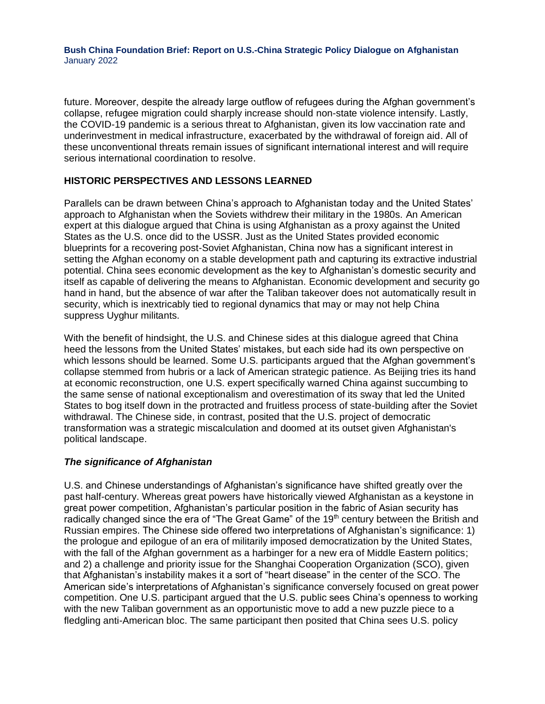**Bush China Foundation Brief: Report on U.S.-China Strategic Policy Dialogue on Afghanistan** January 2022

future. Moreover, despite the already large outflow of refugees during the Afghan government's collapse, refugee migration could sharply increase should non-state violence intensify. Lastly, the COVID-19 pandemic is a serious threat to Afghanistan, given its low vaccination rate and underinvestment in medical infrastructure, exacerbated by the withdrawal of foreign aid. All of these unconventional threats remain issues of significant international interest and will require serious international coordination to resolve.

## **HISTORIC PERSPECTIVES AND LESSONS LEARNED**

Parallels can be drawn between China's approach to Afghanistan today and the United States' approach to Afghanistan when the Soviets withdrew their military in the 1980s. An American expert at this dialogue argued that China is using Afghanistan as a proxy against the United States as the U.S. once did to the USSR. Just as the United States provided economic blueprints for a recovering post-Soviet Afghanistan, China now has a significant interest in setting the Afghan economy on a stable development path and capturing its extractive industrial potential. China sees economic development as the key to Afghanistan's domestic security and itself as capable of delivering the means to Afghanistan. Economic development and security go hand in hand, but the absence of war after the Taliban takeover does not automatically result in security, which is inextricably tied to regional dynamics that may or may not help China suppress Uyghur militants.

With the benefit of hindsight, the U.S. and Chinese sides at this dialogue agreed that China heed the lessons from the United States' mistakes, but each side had its own perspective on which lessons should be learned. Some U.S. participants argued that the Afghan government's collapse stemmed from hubris or a lack of American strategic patience. As Beijing tries its hand at economic reconstruction, one U.S. expert specifically warned China against succumbing to the same sense of national exceptionalism and overestimation of its sway that led the United States to bog itself down in the protracted and fruitless process of state-building after the Soviet withdrawal. The Chinese side, in contrast, posited that the U.S. project of democratic transformation was a strategic miscalculation and doomed at its outset given Afghanistan's political landscape.

## *The significance of Afghanistan*

U.S. and Chinese understandings of Afghanistan's significance have shifted greatly over the past half-century. Whereas great powers have historically viewed Afghanistan as a keystone in great power competition, Afghanistan's particular position in the fabric of Asian security has radically changed since the era of "The Great Game" of the 19<sup>th</sup> century between the British and Russian empires. The Chinese side offered two interpretations of Afghanistan's significance: 1) the prologue and epilogue of an era of militarily imposed democratization by the United States, with the fall of the Afghan government as a harbinger for a new era of Middle Eastern politics; and 2) a challenge and priority issue for the Shanghai Cooperation Organization (SCO), given that Afghanistan's instability makes it a sort of "heart disease" in the center of the SCO. The American side's interpretations of Afghanistan's significance conversely focused on great power competition. One U.S. participant argued that the U.S. public sees China's openness to working with the new Taliban government as an opportunistic move to add a new puzzle piece to a fledgling anti-American bloc. The same participant then posited that China sees U.S. policy